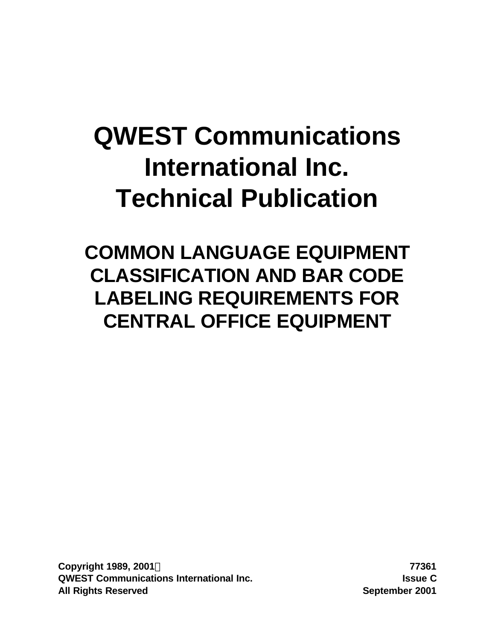# **QWEST Communications International Inc. Technical Publication**

**COMMON LANGUAGE EQUIPMENT CLASSIFICATION AND BAR CODE LABELING REQUIREMENTS FOR CENTRAL OFFICE EQUIPMENT**

**Copyright 1989, 2001Ó 77361 QWEST Communications International Inc. Issue C All Rights Reserved September 2001**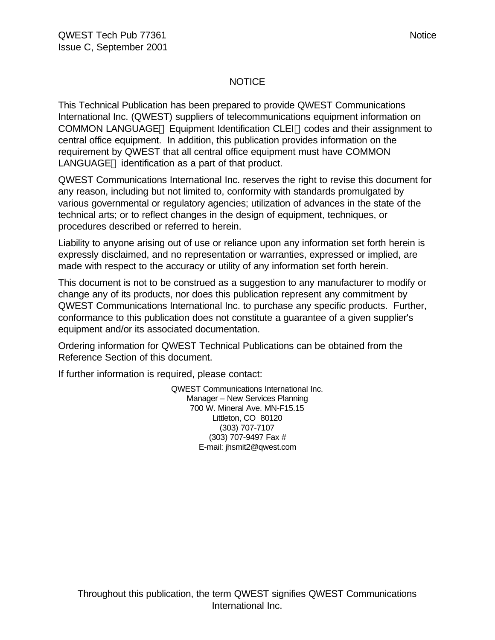## **NOTICE**

This Technical Publication has been prepared to provide QWEST Communications International Inc. (QWEST) suppliers of telecommunications equipment information on COMMON LANGUAGE<sup>®</sup> Equipment Identification CLEI™ codes and their assignment to central office equipment. In addition, this publication provides information on the requirement by QWEST that all central office equipment must have COMMON  $L$ ANGUAGE $<sub>®</sub>$  identification as a part of that product.</sub>

QWEST Communications International Inc. reserves the right to revise this document for any reason, including but not limited to, conformity with standards promulgated by various governmental or regulatory agencies; utilization of advances in the state of the technical arts; or to reflect changes in the design of equipment, techniques, or procedures described or referred to herein.

Liability to anyone arising out of use or reliance upon any information set forth herein is expressly disclaimed, and no representation or warranties, expressed or implied, are made with respect to the accuracy or utility of any information set forth herein.

This document is not to be construed as a suggestion to any manufacturer to modify or change any of its products, nor does this publication represent any commitment by QWEST Communications International Inc. to purchase any specific products. Further, conformance to this publication does not constitute a guarantee of a given supplier's equipment and/or its associated documentation.

Ordering information for QWEST Technical Publications can be obtained from the Reference Section of this document.

If further information is required, please contact:

QWEST Communications International Inc. Manager – New Services Planning 700 W. Mineral Ave. MN-F15.15 Littleton, CO 80120 (303) 707-7107 (303) 707-9497 Fax # E-mail: jhsmit2@qwest.com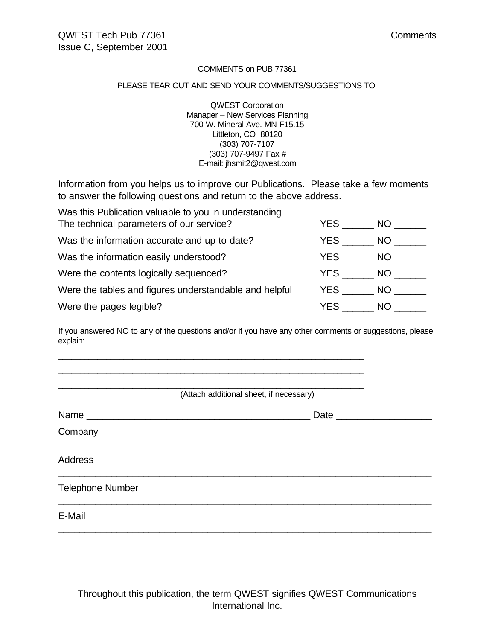#### COMMENTS on PUB 77361

#### PLEASE TEAR OUT AND SEND YOUR COMMENTS/SUGGESTIONS TO:

QWEST Corporation Manager – New Services Planning 700 W. Mineral Ave. MN-F15.15 Littleton, CO 80120 (303) 707-7107 (303) 707-9497 Fax # E-mail: jhsmit2@qwest.com

Information from you helps us to improve our Publications. Please take a few moments to answer the following questions and return to the above address.

| Was this Publication valuable to you in understanding  |      |       |
|--------------------------------------------------------|------|-------|
| The technical parameters of our service?               | YES  | NO I  |
| Was the information accurate and up-to-date?           | YES  | NO I  |
| Was the information easily understood?                 | YES  | NO I  |
| Were the contents logically sequenced?                 | YES  | NO L  |
| Were the tables and figures understandable and helpful | YES  | NO DI |
| Were the pages legible?                                | YES. | NO.   |

If you answered NO to any of the questions and/or if you have any other comments or suggestions, please explain:

 $\Box$  $\Box$ 

| (Attach additional sheet, if necessary) |              |
|-----------------------------------------|--------------|
| Name                                    | Date _______ |
| Company                                 |              |
| <b>Address</b>                          |              |
| <b>Telephone Number</b>                 |              |
| E-Mail                                  |              |

Throughout this publication, the term QWEST signifies QWEST Communications International Inc.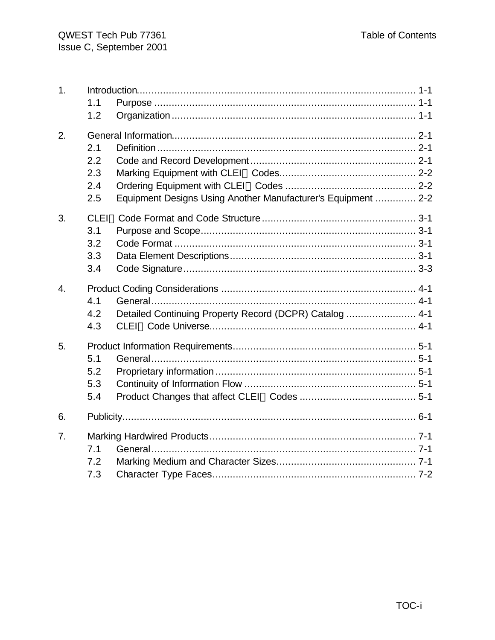| 1.             | 1.1<br>1.2                                                                                       |
|----------------|--------------------------------------------------------------------------------------------------|
| 2.             | 2.1<br>2.2<br>2.3<br>2.4<br>Equipment Designs Using Another Manufacturer's Equipment  2-2<br>2.5 |
| 3.             | 3.1<br>3.2<br>3.3<br>3.4                                                                         |
| 4.             | 4.1<br>Detailed Continuing Property Record (DCPR) Catalog  4-1<br>4.2<br>4.3                     |
| 5.             | 5.1<br>5.2<br>5.3<br>5.4                                                                         |
| 6.             |                                                                                                  |
| 7 <sub>1</sub> | 7.1<br>7.2<br>7.3                                                                                |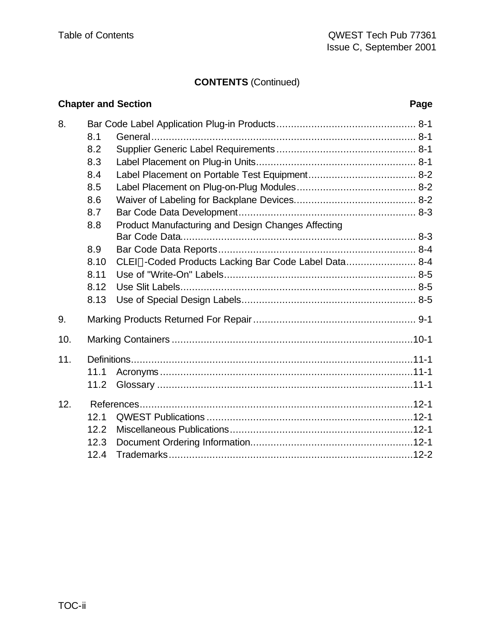## **CONTENTS** (Continued)

|     |      | <b>Chapter and Section</b>                           | Page |
|-----|------|------------------------------------------------------|------|
| 8.  |      |                                                      |      |
|     | 8.1  |                                                      |      |
|     | 8.2  |                                                      |      |
|     | 8.3  |                                                      |      |
|     | 8.4  |                                                      |      |
|     | 8.5  |                                                      |      |
|     | 8.6  |                                                      |      |
|     | 8.7  |                                                      |      |
|     | 8.8  | Product Manufacturing and Design Changes Affecting   |      |
|     |      |                                                      |      |
|     | 8.9  |                                                      |      |
|     | 8.10 | CLEI™-Coded Products Lacking Bar Code Label Data 8-4 |      |
|     | 8.11 |                                                      |      |
|     | 8.12 |                                                      |      |
|     | 8.13 |                                                      |      |
| 9.  |      |                                                      |      |
| 10. |      |                                                      |      |
| 11. |      |                                                      |      |
|     | 11.1 |                                                      |      |
|     | 11.2 |                                                      |      |
| 12. |      |                                                      |      |
|     | 12.1 |                                                      |      |
|     | 12.2 |                                                      |      |
|     | 12.3 |                                                      |      |
|     | 12.4 |                                                      |      |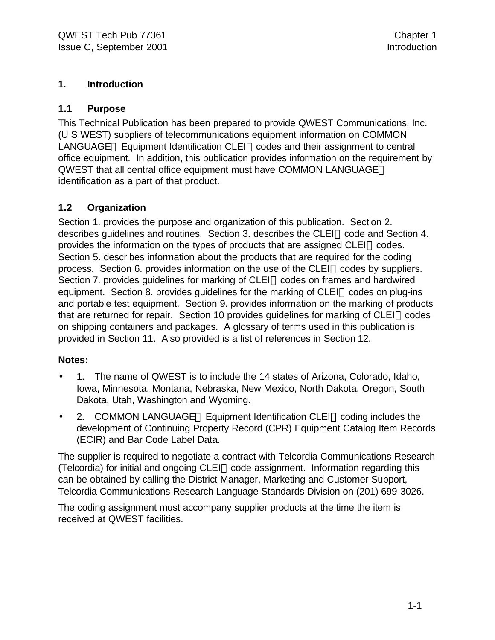## **1. Introduction**

## **1.1 Purpose**

This Technical Publication has been prepared to provide QWEST Communications, Inc. (U S WEST) suppliers of telecommunications equipment information on COMMON LANGUAGE<sup>®</sup> Equipment Identification CLEI™ codes and their assignment to central office equipment. In addition, this publication provides information on the requirement by QWEST that all central office equipment must have COMMON LANGUAGE identification as a part of that product.

## **1.2 Organization**

Section 1. provides the purpose and organization of this publication. Section 2. describes quidelines and routines. Section 3. describes the  $CLEI^{\pi}$  code and Section 4. provides the information on the types of products that are assigned  $CLEI^{\pi}$  codes. Section 5. describes information about the products that are required for the coding process. Section 6. provides information on the use of the CLEI™ codes by suppliers. Section 7. provides guidelines for marking of CLEI™ codes on frames and hardwired equipment. Section 8. provides quidelines for the marking of  $CLEI^{\pi}$  codes on plug-ins and portable test equipment. Section 9. provides information on the marking of products that are returned for repair. Section 10 provides guidelines for marking of CLEI<sup>M</sup> codes on shipping containers and packages. A glossary of terms used in this publication is provided in Section 11. Also provided is a list of references in Section 12.

#### **Notes:**

- 1. The name of QWEST is to include the 14 states of Arizona, Colorado, Idaho, Iowa, Minnesota, Montana, Nebraska, New Mexico, North Dakota, Oregon, South Dakota, Utah, Washington and Wyoming.
- 2. COMMON LANGUAGE<sup>®</sup> Equipment Identification CLEI<sup> $M$ </sup> coding includes the development of Continuing Property Record (CPR) Equipment Catalog Item Records (ECIR) and Bar Code Label Data.

The supplier is required to negotiate a contract with Telcordia Communications Research (Telcordia) for initial and ongoing CLEI<sup> $M$ </sup> code assignment. Information regarding this can be obtained by calling the District Manager, Marketing and Customer Support, Telcordia Communications Research Language Standards Division on (201) 699-3026.

The coding assignment must accompany supplier products at the time the item is received at QWEST facilities.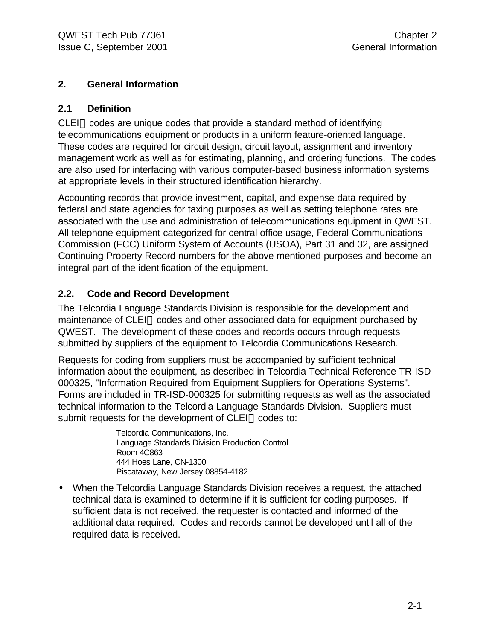## **2. General Information**

## **2.1 Definition**

 $CLEI^{\pi}$  codes are unique codes that provide a standard method of identifying telecommunications equipment or products in a uniform feature-oriented language. These codes are required for circuit design, circuit layout, assignment and inventory management work as well as for estimating, planning, and ordering functions. The codes are also used for interfacing with various computer-based business information systems at appropriate levels in their structured identification hierarchy.

Accounting records that provide investment, capital, and expense data required by federal and state agencies for taxing purposes as well as setting telephone rates are associated with the use and administration of telecommunications equipment in QWEST. All telephone equipment categorized for central office usage, Federal Communications Commission (FCC) Uniform System of Accounts (USOA), Part 31 and 32, are assigned Continuing Property Record numbers for the above mentioned purposes and become an integral part of the identification of the equipment.

## **2.2. Code and Record Development**

The Telcordia Language Standards Division is responsible for the development and maintenance of CLEI™ codes and other associated data for equipment purchased by QWEST. The development of these codes and records occurs through requests submitted by suppliers of the equipment to Telcordia Communications Research.

Requests for coding from suppliers must be accompanied by sufficient technical information about the equipment, as described in Telcordia Technical Reference TR-ISD-000325, "Information Required from Equipment Suppliers for Operations Systems". Forms are included in TR-ISD-000325 for submitting requests as well as the associated technical information to the Telcordia Language Standards Division. Suppliers must submit requests for the development of CLEI™ codes to:

> Telcordia Communications, Inc. Language Standards Division Production Control Room 4C863 444 Hoes Lane, CN-1300 Piscataway, New Jersey 08854-4182

• When the Telcordia Language Standards Division receives a request, the attached technical data is examined to determine if it is sufficient for coding purposes. If sufficient data is not received, the requester is contacted and informed of the additional data required. Codes and records cannot be developed until all of the required data is received.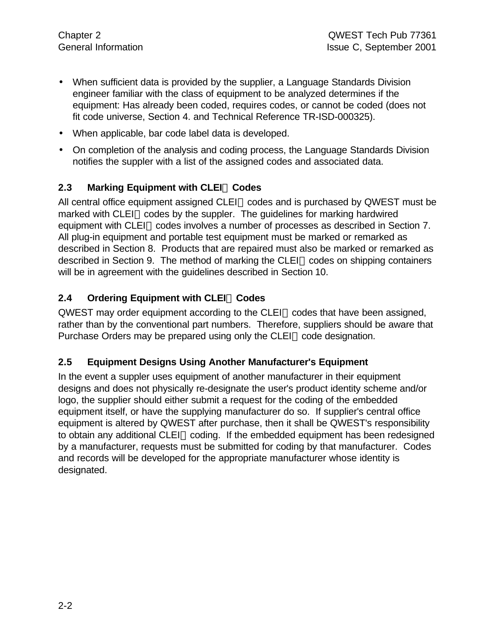- When sufficient data is provided by the supplier, a Language Standards Division engineer familiar with the class of equipment to be analyzed determines if the equipment: Has already been coded, requires codes, or cannot be coded (does not fit code universe, Section 4. and Technical Reference TR-ISD-000325).
- When applicable, bar code label data is developed.
- On completion of the analysis and coding process, the Language Standards Division notifies the suppler with a list of the assigned codes and associated data.

## **2.3 Marking Equipment with CLEIä Codes**

All central office equipment assigned CLEI<sup> $M$ </sup> codes and is purchased by QWEST must be marked with CLEI<sup> $M$ </sup> codes by the suppler. The quidelines for marking hardwired equipment with CLEI™ codes involves a number of processes as described in Section 7. All plug-in equipment and portable test equipment must be marked or remarked as described in Section 8. Products that are repaired must also be marked or remarked as described in Section 9. The method of marking the CLEI<sup>™</sup> codes on shipping containers will be in agreement with the guidelines described in Section 10.

## **2.4 Ordering Equipment with CLEIä Codes**

 $QWEST$  may order equipment according to the CLEI<sup> $M$ </sup> codes that have been assigned, rather than by the conventional part numbers. Therefore, suppliers should be aware that Purchase Orders may be prepared using only the CLEI<sup>M</sup> code designation.

#### **2.5 Equipment Designs Using Another Manufacturer's Equipment**

In the event a suppler uses equipment of another manufacturer in their equipment designs and does not physically re-designate the user's product identity scheme and/or logo, the supplier should either submit a request for the coding of the embedded equipment itself, or have the supplying manufacturer do so. If supplier's central office equipment is altered by QWEST after purchase, then it shall be QWEST's responsibility to obtain any additional CLEI™ coding. If the embedded equipment has been redesigned by a manufacturer, requests must be submitted for coding by that manufacturer. Codes and records will be developed for the appropriate manufacturer whose identity is designated.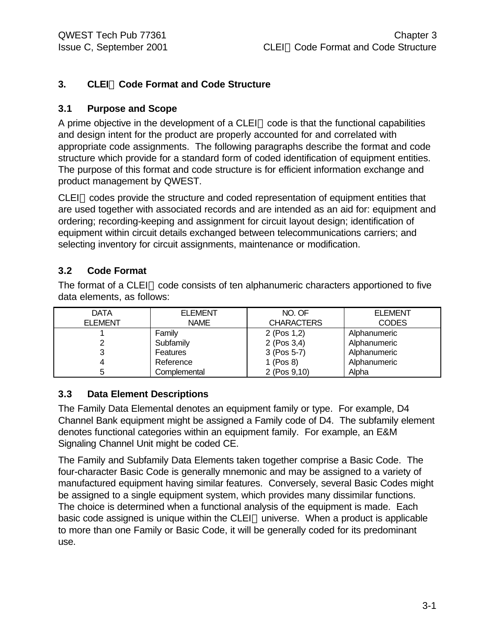## **3. CLEIä Code Format and Code Structure**

## **3.1 Purpose and Scope**

A prime objective in the development of a CLEI<sup> $M$ </sup> code is that the functional capabilities and design intent for the product are properly accounted for and correlated with appropriate code assignments. The following paragraphs describe the format and code structure which provide for a standard form of coded identification of equipment entities. The purpose of this format and code structure is for efficient information exchange and product management by QWEST.

 $CLEI^{\pi}$  codes provide the structure and coded representation of equipment entities that are used together with associated records and are intended as an aid for: equipment and ordering; recording-keeping and assignment for circuit layout design; identification of equipment within circuit details exchanged between telecommunications carriers; and selecting inventory for circuit assignments, maintenance or modification.

## **3.2 Code Format**

The format of a CLEI<sup> $M$ </sup> code consists of ten alphanumeric characters apportioned to five data elements, as follows:

| <b>DATA</b>    | <b>ELEMENT</b>  | NO. OF            | <b>ELEMENT</b> |
|----------------|-----------------|-------------------|----------------|
| <b>ELEMENT</b> | <b>NAME</b>     | <b>CHARACTERS</b> | <b>CODES</b>   |
|                | Family          | 2 (Pos 1,2)       | Alphanumeric   |
|                | Subfamily       | $2$ (Pos 3,4)     | Alphanumeric   |
|                | <b>Features</b> | 3 (Pos 5-7)       | Alphanumeric   |
|                | Reference       | 1 (Pos 8)         | Alphanumeric   |
|                | Complemental    | 2 (Pos 9,10)      | Alpha          |

#### **3.3 Data Element Descriptions**

The Family Data Elemental denotes an equipment family or type. For example, D4 Channel Bank equipment might be assigned a Family code of D4. The subfamily element denotes functional categories within an equipment family. For example, an E&M Signaling Channel Unit might be coded CE.

The Family and Subfamily Data Elements taken together comprise a Basic Code. The four-character Basic Code is generally mnemonic and may be assigned to a variety of manufactured equipment having similar features. Conversely, several Basic Codes might be assigned to a single equipment system, which provides many dissimilar functions. The choice is determined when a functional analysis of the equipment is made. Each basic code assigned is unique within the CLEI<sup> $M$ </sup> universe. When a product is applicable to more than one Family or Basic Code, it will be generally coded for its predominant use.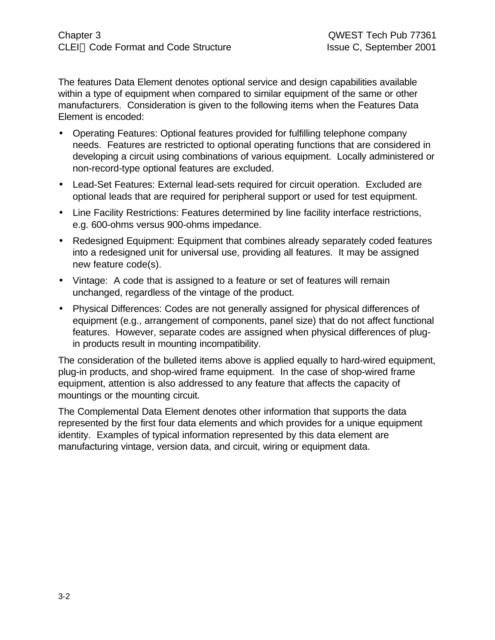The features Data Element denotes optional service and design capabilities available within a type of equipment when compared to similar equipment of the same or other manufacturers. Consideration is given to the following items when the Features Data Element is encoded:

- Operating Features: Optional features provided for fulfilling telephone company needs. Features are restricted to optional operating functions that are considered in developing a circuit using combinations of various equipment. Locally administered or non-record-type optional features are excluded.
- Lead-Set Features: External lead-sets required for circuit operation. Excluded are optional leads that are required for peripheral support or used for test equipment.
- Line Facility Restrictions: Features determined by line facility interface restrictions, e.g. 600-ohms versus 900-ohms impedance.
- Redesigned Equipment: Equipment that combines already separately coded features into a redesigned unit for universal use, providing all features. It may be assigned new feature code(s).
- Vintage: A code that is assigned to a feature or set of features will remain unchanged, regardless of the vintage of the product.
- Physical Differences: Codes are not generally assigned for physical differences of equipment (e.g., arrangement of components, panel size) that do not affect functional features. However, separate codes are assigned when physical differences of plugin products result in mounting incompatibility.

The consideration of the bulleted items above is applied equally to hard-wired equipment, plug-in products, and shop-wired frame equipment. In the case of shop-wired frame equipment, attention is also addressed to any feature that affects the capacity of mountings or the mounting circuit.

The Complemental Data Element denotes other information that supports the data represented by the first four data elements and which provides for a unique equipment identity. Examples of typical information represented by this data element are manufacturing vintage, version data, and circuit, wiring or equipment data.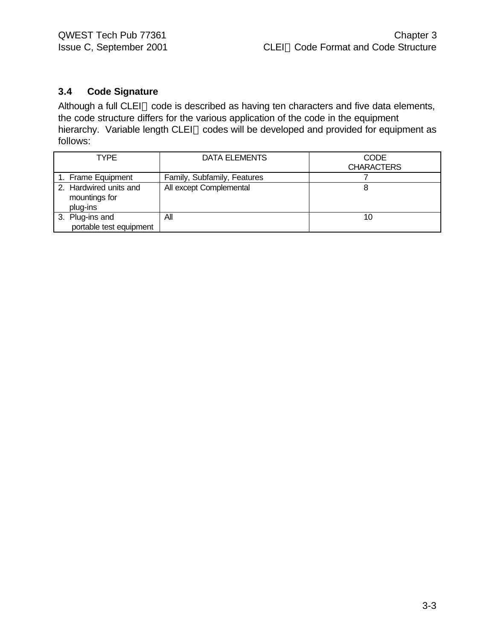## **3.4 Code Signature**

Although a full CLEI™ code is described as having ten characters and five data elements, the code structure differs for the various application of the code in the equipment hierarchy. Variable length CLEI™ codes will be developed and provided for equipment as follows:

| TYPE                                                | DATA ELEMENTS               | CODE              |
|-----------------------------------------------------|-----------------------------|-------------------|
|                                                     |                             | <b>CHARACTERS</b> |
| 1. Frame Equipment                                  | Family, Subfamily, Features |                   |
| 2. Hardwired units and<br>mountings for<br>plug-ins | All except Complemental     |                   |
| 3. Plug-ins and<br>portable test equipment          | All                         | 10                |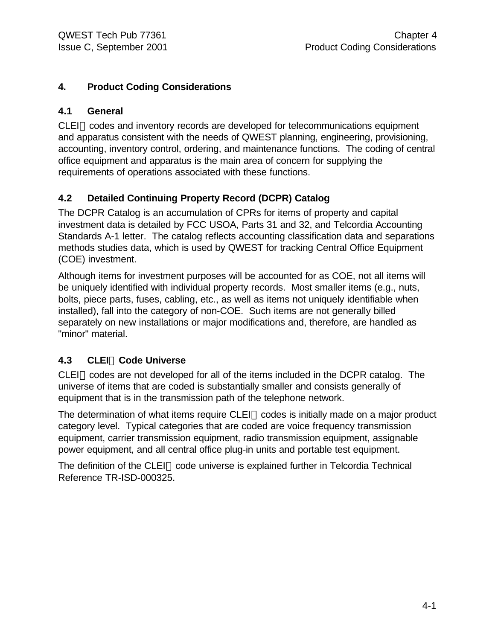## **4. Product Coding Considerations**

## **4.1 General**

 $CLEI<sup>TM</sup> codes and inventory records are developed for telecommunications equipment$ and apparatus consistent with the needs of QWEST planning, engineering, provisioning, accounting, inventory control, ordering, and maintenance functions. The coding of central office equipment and apparatus is the main area of concern for supplying the requirements of operations associated with these functions.

## **4.2 Detailed Continuing Property Record (DCPR) Catalog**

The DCPR Catalog is an accumulation of CPRs for items of property and capital investment data is detailed by FCC USOA, Parts 31 and 32, and Telcordia Accounting Standards A-1 letter. The catalog reflects accounting classification data and separations methods studies data, which is used by QWEST for tracking Central Office Equipment (COE) investment.

Although items for investment purposes will be accounted for as COE, not all items will be uniquely identified with individual property records. Most smaller items (e.g., nuts, bolts, piece parts, fuses, cabling, etc., as well as items not uniquely identifiable when installed), fall into the category of non-COE. Such items are not generally billed separately on new installations or major modifications and, therefore, are handled as "minor" material.

## **4.3 CLEIä Code Universe**

 $CLEI<sup>TM</sup> codes are not developed for all of the items included in the DCPR catalog. The$ universe of items that are coded is substantially smaller and consists generally of equipment that is in the transmission path of the telephone network.

The determination of what items require CLEI<sup> $M$ </sup> codes is initially made on a major product category level. Typical categories that are coded are voice frequency transmission equipment, carrier transmission equipment, radio transmission equipment, assignable power equipment, and all central office plug-in units and portable test equipment.

The definition of the CLEI<sup> $M$ </sup> code universe is explained further in Telcordia Technical Reference TR-ISD-000325.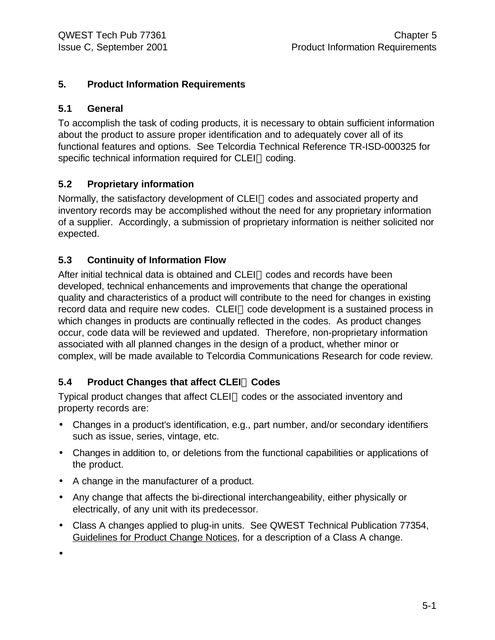## **5. Product Information Requirements**

## **5.1 General**

To accomplish the task of coding products, it is necessary to obtain sufficient information about the product to assure proper identification and to adequately cover all of its functional features and options. See Telcordia Technical Reference TR-ISD-000325 for specific technical information required for CLEI™ coding.

## **5.2 Proprietary information**

Normally, the satisfactory development of CLEI<sup>™</sup> codes and associated property and inventory records may be accomplished without the need for any proprietary information of a supplier. Accordingly, a submission of proprietary information is neither solicited nor expected.

## **5.3 Continuity of Information Flow**

After initial technical data is obtained and CLEI™ codes and records have been developed, technical enhancements and improvements that change the operational quality and characteristics of a product will contribute to the need for changes in existing record data and require new codes. CLEI™ code development is a sustained process in which changes in products are continually reflected in the codes. As product changes occur, code data will be reviewed and updated. Therefore, non-proprietary information associated with all planned changes in the design of a product, whether minor or complex, will be made available to Telcordia Communications Research for code review.

## **5.4 Product Changes that affect CLEIä Codes**

Typical product changes that affect CLEI™ codes or the associated inventory and property records are:

- Changes in a product's identification, e.g., part number, and/or secondary identifiers such as issue, series, vintage, etc.
- Changes in addition to, or deletions from the functional capabilities or applications of the product.
- A change in the manufacturer of a product.
- Any change that affects the bi-directional interchangeability, either physically or electrically, of any unit with its predecessor.
- Class A changes applied to plug-in units. See QWEST Technical Publication 77354, Guidelines for Product Change Notices, for a description of a Class A change.

•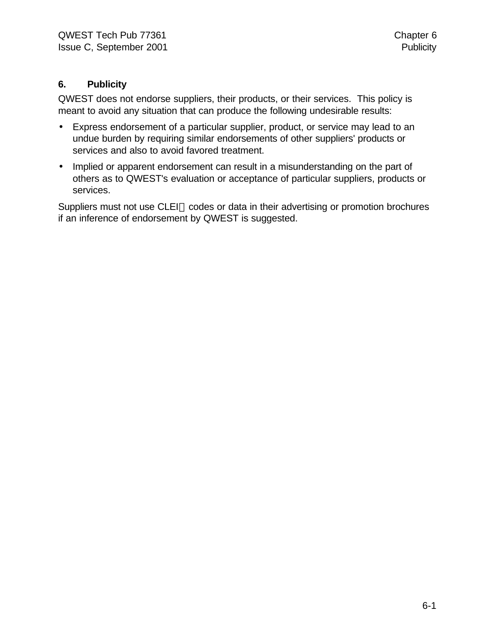## **6. Publicity**

QWEST does not endorse suppliers, their products, or their services. This policy is meant to avoid any situation that can produce the following undesirable results:

- Express endorsement of a particular supplier, product, or service may lead to an undue burden by requiring similar endorsements of other suppliers' products or services and also to avoid favored treatment.
- Implied or apparent endorsement can result in a misunderstanding on the part of others as to QWEST's evaluation or acceptance of particular suppliers, products or services.

Suppliers must not use CLEI™ codes or data in their advertising or promotion brochures if an inference of endorsement by QWEST is suggested.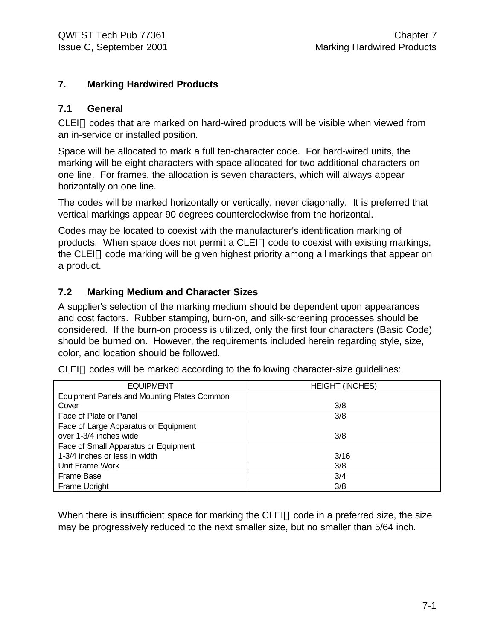#### **7. Marking Hardwired Products**

#### **7.1 General**

 $CLEI^{\pi}$  codes that are marked on hard-wired products will be visible when viewed from an in-service or installed position.

Space will be allocated to mark a full ten-character code. For hard-wired units, the marking will be eight characters with space allocated for two additional characters on one line. For frames, the allocation is seven characters, which will always appear horizontally on one line.

The codes will be marked horizontally or vertically, never diagonally. It is preferred that vertical markings appear 90 degrees counterclockwise from the horizontal.

Codes may be located to coexist with the manufacturer's identification marking of products. When space does not permit a CLEI™ code to coexist with existing markings, the CLEI<sup>TM</sup> code marking will be given highest priority among all markings that appear on a product.

## **7.2 Marking Medium and Character Sizes**

A supplier's selection of the marking medium should be dependent upon appearances and cost factors. Rubber stamping, burn-on, and silk-screening processes should be considered. If the burn-on process is utilized, only the first four characters (Basic Code) should be burned on. However, the requirements included herein regarding style, size, color, and location should be followed.

| <b>EQUIPMENT</b>                            | <b>HEIGHT (INCHES)</b> |
|---------------------------------------------|------------------------|
| Equipment Panels and Mounting Plates Common |                        |
| Cover                                       | 3/8                    |
| Face of Plate or Panel                      | 3/8                    |
| Face of Large Apparatus or Equipment        |                        |
| over 1-3/4 inches wide                      | 3/8                    |
| Face of Small Apparatus or Equipment        |                        |
| 1-3/4 inches or less in width               | 3/16                   |
| Unit Frame Work                             | 3/8                    |
| Frame Base                                  | 3/4                    |
| Frame Upright                               | 3/8                    |

 $CLEI<sup>TM</sup> codes will be marked according to the following character-size guidelines:$ 

When there is insufficient space for marking the CLEI<sup> $M$ </sup> code in a preferred size, the size may be progressively reduced to the next smaller size, but no smaller than 5/64 inch.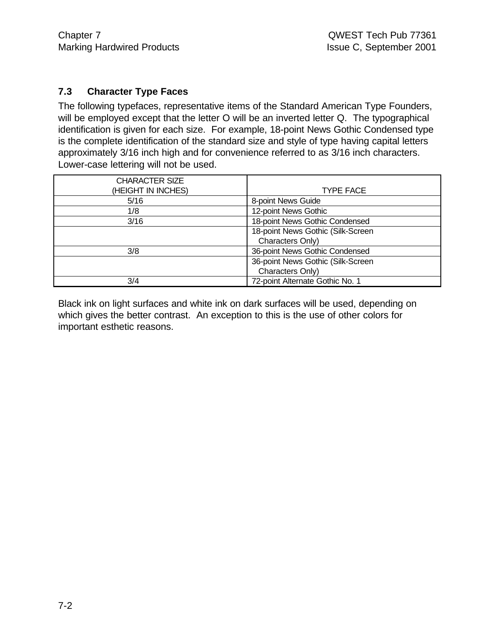## **7.3 Character Type Faces**

The following typefaces, representative items of the Standard American Type Founders, will be employed except that the letter O will be an inverted letter Q. The typographical identification is given for each size. For example, 18-point News Gothic Condensed type is the complete identification of the standard size and style of type having capital letters approximately 3/16 inch high and for convenience referred to as 3/16 inch characters. Lower-case lettering will not be used.

| <b>CHARACTER SIZE</b><br>(HEIGHT IN INCHES) | <b>TYPE FACE</b>                  |
|---------------------------------------------|-----------------------------------|
| 5/16                                        | 8-point News Guide                |
| 1/8                                         | 12-point News Gothic              |
| 3/16                                        | 18-point News Gothic Condensed    |
|                                             | 18-point News Gothic (Silk-Screen |
|                                             | Characters Only)                  |
| 3/8                                         | 36-point News Gothic Condensed    |
|                                             | 36-point News Gothic (Silk-Screen |
|                                             | Characters Only)                  |
| 3/4                                         | 72-point Alternate Gothic No. 1   |

Black ink on light surfaces and white ink on dark surfaces will be used, depending on which gives the better contrast. An exception to this is the use of other colors for important esthetic reasons.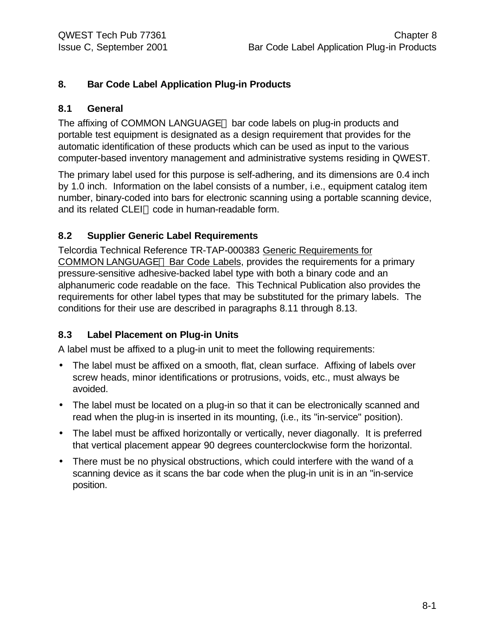## **8. Bar Code Label Application Plug-in Products**

#### **8.1 General**

The affixing of COMMON LANGUAGE<sup>®</sup> bar code labels on plug-in products and portable test equipment is designated as a design requirement that provides for the automatic identification of these products which can be used as input to the various computer-based inventory management and administrative systems residing in QWEST.

The primary label used for this purpose is self-adhering, and its dimensions are 0.4 inch by 1.0 inch. Information on the label consists of a number, i.e., equipment catalog item number, binary-coded into bars for electronic scanning using a portable scanning device, and its related CLEI™ code in human-readable form.

#### **8.2 Supplier Generic Label Requirements**

Telcordia Technical Reference TR-TAP-000383 Generic Requirements for COMMON LANGUAGE<sup>®</sup> Bar Code Labels, provides the requirements for a primary pressure-sensitive adhesive-backed label type with both a binary code and an alphanumeric code readable on the face. This Technical Publication also provides the requirements for other label types that may be substituted for the primary labels. The conditions for their use are described in paragraphs 8.11 through 8.13.

#### **8.3 Label Placement on Plug-in Units**

A label must be affixed to a plug-in unit to meet the following requirements:

- The label must be affixed on a smooth, flat, clean surface. Affixing of labels over screw heads, minor identifications or protrusions, voids, etc., must always be avoided.
- The label must be located on a plug-in so that it can be electronically scanned and read when the plug-in is inserted in its mounting, (i.e., its "in-service" position).
- The label must be affixed horizontally or vertically, never diagonally. It is preferred that vertical placement appear 90 degrees counterclockwise form the horizontal.
- There must be no physical obstructions, which could interfere with the wand of a scanning device as it scans the bar code when the plug-in unit is in an "in-service position.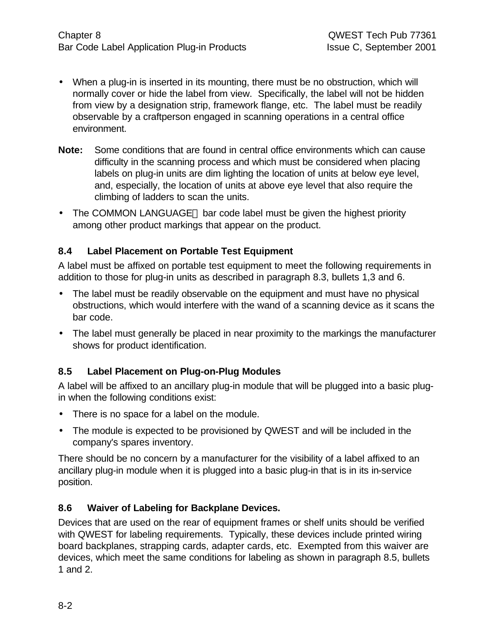- When a plug-in is inserted in its mounting, there must be no obstruction, which will normally cover or hide the label from view. Specifically, the label will not be hidden from view by a designation strip, framework flange, etc. The label must be readily observable by a craftperson engaged in scanning operations in a central office environment.
- **Note:** Some conditions that are found in central office environments which can cause difficulty in the scanning process and which must be considered when placing labels on plug-in units are dim lighting the location of units at below eye level, and, especially, the location of units at above eye level that also require the climbing of ladders to scan the units.
- The COMMON LANGUAGE $\circledast$  bar code label must be given the highest priority among other product markings that appear on the product.

## **8.4 Label Placement on Portable Test Equipment**

A label must be affixed on portable test equipment to meet the following requirements in addition to those for plug-in units as described in paragraph 8.3, bullets 1,3 and 6.

- The label must be readily observable on the equipment and must have no physical obstructions, which would interfere with the wand of a scanning device as it scans the bar code.
- The label must generally be placed in near proximity to the markings the manufacturer shows for product identification.

## **8.5 Label Placement on Plug-on-Plug Modules**

A label will be affixed to an ancillary plug-in module that will be plugged into a basic plugin when the following conditions exist:

- There is no space for a label on the module.
- The module is expected to be provisioned by QWEST and will be included in the company's spares inventory.

There should be no concern by a manufacturer for the visibility of a label affixed to an ancillary plug-in module when it is plugged into a basic plug-in that is in its in-service position.

## **8.6 Waiver of Labeling for Backplane Devices.**

Devices that are used on the rear of equipment frames or shelf units should be verified with QWEST for labeling requirements. Typically, these devices include printed wiring board backplanes, strapping cards, adapter cards, etc. Exempted from this waiver are devices, which meet the same conditions for labeling as shown in paragraph 8.5, bullets 1 and 2.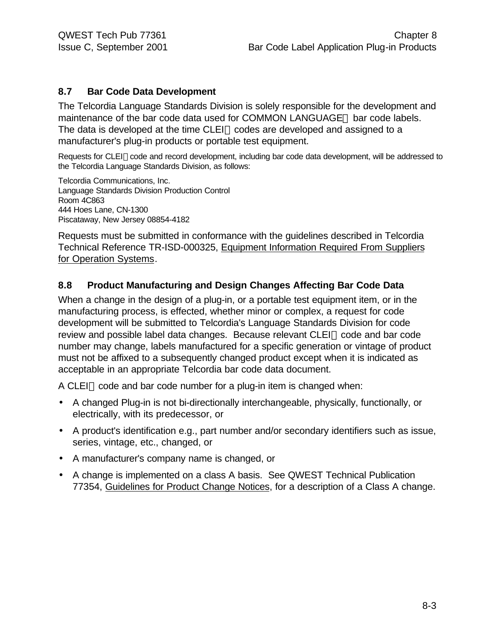#### **8.7 Bar Code Data Development**

The Telcordia Language Standards Division is solely responsible for the development and maintenance of the bar code data used for COMMON LANGUAGE® bar code labels. The data is developed at the time CLEI<sup> $M$ </sup> codes are developed and assigned to a manufacturer's plug-in products or portable test equipment.

Requests for CLEI™code and record development, including bar code data development, will be addressed to the Telcordia Language Standards Division, as follows:

Telcordia Communications, Inc. Language Standards Division Production Control Room 4C863 444 Hoes Lane, CN-1300 Piscataway, New Jersey 08854-4182

Requests must be submitted in conformance with the guidelines described in Telcordia Technical Reference TR-ISD-000325, Equipment Information Required From Suppliers for Operation Systems.

#### **8.8 Product Manufacturing and Design Changes Affecting Bar Code Data**

When a change in the design of a plug-in, or a portable test equipment item, or in the manufacturing process, is effected, whether minor or complex, a request for code development will be submitted to Telcordia's Language Standards Division for code review and possible label data changes. Because relevant CLEI™ code and bar code number may change, labels manufactured for a specific generation or vintage of product must not be affixed to a subsequently changed product except when it is indicated as acceptable in an appropriate Telcordia bar code data document.

A CLEI<sup>IM</sup> code and bar code number for a plug-in item is changed when:

- A changed Plug-in is not bi-directionally interchangeable, physically, functionally, or electrically, with its predecessor, or
- A product's identification e.g., part number and/or secondary identifiers such as issue, series, vintage, etc., changed, or
- A manufacturer's company name is changed, or
- A change is implemented on a class A basis. See QWEST Technical Publication 77354, Guidelines for Product Change Notices, for a description of a Class A change.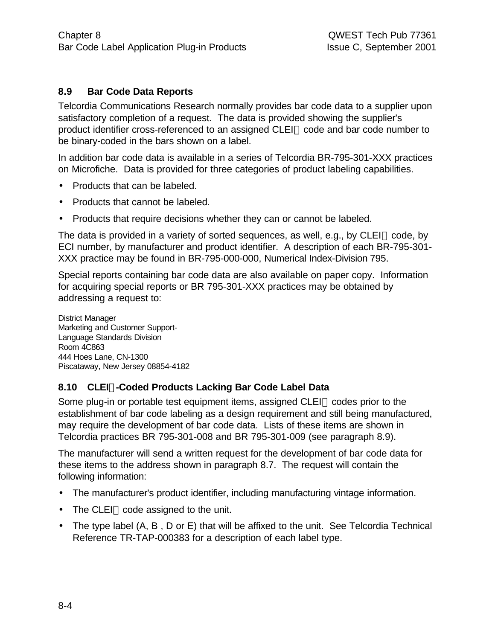## **8.9 Bar Code Data Reports**

Telcordia Communications Research normally provides bar code data to a supplier upon satisfactory completion of a request. The data is provided showing the supplier's product identifier cross-referenced to an assigned CLEI™ code and bar code number to be binary-coded in the bars shown on a label.

In addition bar code data is available in a series of Telcordia BR-795-301-XXX practices on Microfiche. Data is provided for three categories of product labeling capabilities.

- Products that can be labeled.
- Products that cannot be labeled.
- Products that require decisions whether they can or cannot be labeled.

The data is provided in a variety of sorted sequences, as well, e.g., by CLEI<sup>TM</sup> code, by ECI number, by manufacturer and product identifier. A description of each BR-795-301- XXX practice may be found in BR-795-000-000, Numerical Index-Division 795.

Special reports containing bar code data are also available on paper copy. Information for acquiring special reports or BR 795-301-XXX practices may be obtained by addressing a request to:

District Manager Marketing and Customer Support-Language Standards Division Room 4C863 444 Hoes Lane, CN-1300 Piscataway, New Jersey 08854-4182

#### **8.10 CLEIä-Coded Products Lacking Bar Code Label Data**

Some plug-in or portable test equipment items, assigned  $CLEI^{\pi}$  codes prior to the establishment of bar code labeling as a design requirement and still being manufactured, may require the development of bar code data. Lists of these items are shown in Telcordia practices BR 795-301-008 and BR 795-301-009 (see paragraph 8.9).

The manufacturer will send a written request for the development of bar code data for these items to the address shown in paragraph 8.7. The request will contain the following information:

- The manufacturer's product identifier, including manufacturing vintage information.
- $\bullet$  The CLEI<sup>TM</sup> code assigned to the unit.
- The type label (A, B, D or E) that will be affixed to the unit. See Telcordia Technical Reference TR-TAP-000383 for a description of each label type.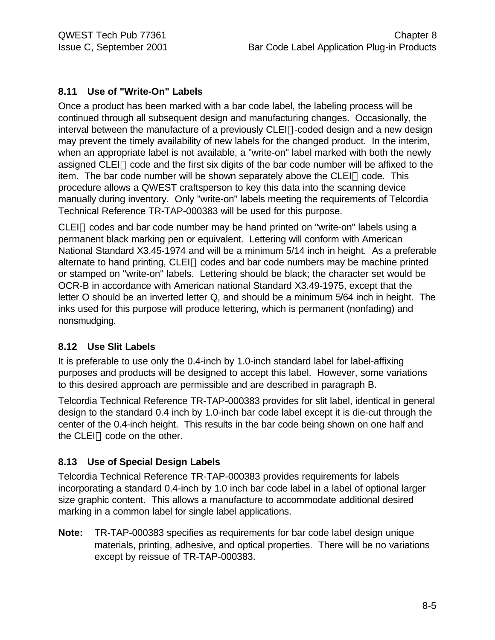## **8.11 Use of "Write-On" Labels**

Once a product has been marked with a bar code label, the labeling process will be continued through all subsequent design and manufacturing changes. Occasionally, the interval between the manufacture of a previously  $CLEI^{m}$ -coded design and a new design may prevent the timely availability of new labels for the changed product. In the interim, when an appropriate label is not available, a "write-on" label marked with both the newly assigned CLEI<sup>TM</sup> code and the first six digits of the bar code number will be affixed to the item. The bar code number will be shown separately above the CLEI<sup> $M$ </sup> code. This procedure allows a QWEST craftsperson to key this data into the scanning device manually during inventory. Only "write-on" labels meeting the requirements of Telcordia Technical Reference TR-TAP-000383 will be used for this purpose.

CLEI<sup>TM</sup> codes and bar code number may be hand printed on "write-on" labels using a permanent black marking pen or equivalent. Lettering will conform with American National Standard X3.45-1974 and will be a minimum 5/14 inch in height. As a preferable alternate to hand printing, CLEI™ codes and bar code numbers may be machine printed or stamped on "write-on" labels. Lettering should be black; the character set would be OCR-B in accordance with American national Standard X3.49-1975, except that the letter O should be an inverted letter Q, and should be a minimum 5/64 inch in height. The inks used for this purpose will produce lettering, which is permanent (nonfading) and nonsmudging.

#### **8.12 Use Slit Labels**

It is preferable to use only the 0.4-inch by 1.0-inch standard label for label-affixing purposes and products will be designed to accept this label. However, some variations to this desired approach are permissible and are described in paragraph B.

Telcordia Technical Reference TR-TAP-000383 provides for slit label, identical in general design to the standard 0.4 inch by 1.0-inch bar code label except it is die-cut through the center of the 0.4-inch height. This results in the bar code being shown on one half and the CLEI<sup>TM</sup> code on the other.

## **8.13 Use of Special Design Labels**

Telcordia Technical Reference TR-TAP-000383 provides requirements for labels incorporating a standard 0.4-inch by 1.0 inch bar code label in a label of optional larger size graphic content. This allows a manufacture to accommodate additional desired marking in a common label for single label applications.

**Note:** TR-TAP-000383 specifies as requirements for bar code label design unique materials, printing, adhesive, and optical properties. There will be no variations except by reissue of TR-TAP-000383.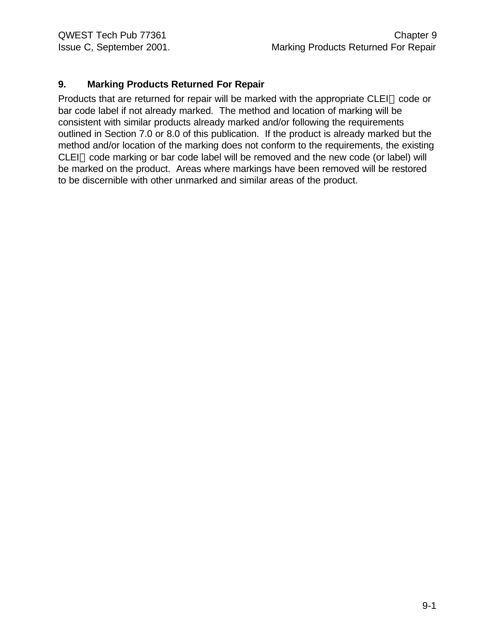## **9. Marking Products Returned For Repair**

Products that are returned for repair will be marked with the appropriate CLEI<sup>TM</sup> code or bar code label if not already marked. The method and location of marking will be consistent with similar products already marked and/or following the requirements outlined in Section 7.0 or 8.0 of this publication. If the product is already marked but the method and/or location of the marking does not conform to the requirements, the existing  $CLEI<sup>TM</sup> code marking or bar code label will be removed and the new code (or label) will$ be marked on the product. Areas where markings have been removed will be restored to be discernible with other unmarked and similar areas of the product.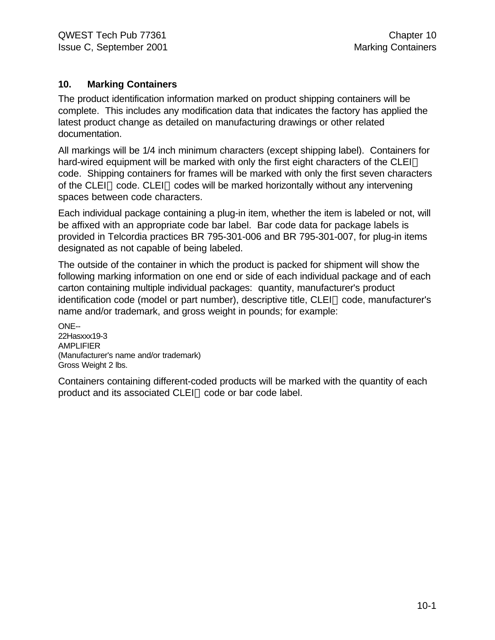#### **10. Marking Containers**

The product identification information marked on product shipping containers will be complete. This includes any modification data that indicates the factory has applied the latest product change as detailed on manufacturing drawings or other related documentation.

All markings will be 1/4 inch minimum characters (except shipping label). Containers for hard-wired equipment will be marked with only the first eight characters of the CLEI<sup>TM</sup> code. Shipping containers for frames will be marked with only the first seven characters of the CLEI<sup>M</sup> code. CLEI<sup>M</sup> codes will be marked horizontally without any intervening spaces between code characters.

Each individual package containing a plug-in item, whether the item is labeled or not, will be affixed with an appropriate code bar label. Bar code data for package labels is provided in Telcordia practices BR 795-301-006 and BR 795-301-007, for plug-in items designated as not capable of being labeled.

The outside of the container in which the product is packed for shipment will show the following marking information on one end or side of each individual package and of each carton containing multiple individual packages: quantity, manufacturer's product  $id$ entification code (model or part number), descriptive title,  $CLEI^{\pi}$  code, manufacturer's name and/or trademark, and gross weight in pounds; for example:

ONE-- 22Hasxxx19-3 AMPLIFIER (Manufacturer's name and/or trademark) Gross Weight 2 lbs.

Containers containing different-coded products will be marked with the quantity of each product and its associated CLEI™ code or bar code label.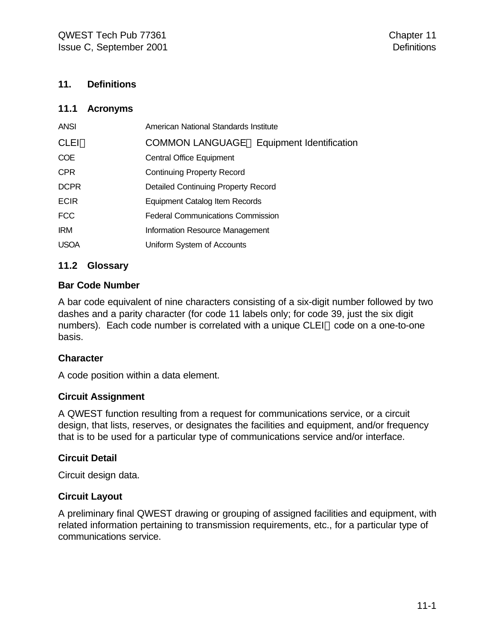#### **11. Definitions**

#### **11.1 Acronyms**

| <b>ANSI</b> | American National Standards Institute            |
|-------------|--------------------------------------------------|
| CLEI™       | <b>COMMON LANGUAGE® Equipment Identification</b> |
| <b>COE</b>  | <b>Central Office Equipment</b>                  |
| <b>CPR</b>  | <b>Continuing Property Record</b>                |
| <b>DCPR</b> | <b>Detailed Continuing Property Record</b>       |
| <b>ECIR</b> | Equipment Catalog Item Records                   |
| <b>FCC</b>  | <b>Federal Communications Commission</b>         |
| <b>IRM</b>  | Information Resource Management                  |
| <b>USOA</b> | Uniform System of Accounts                       |

#### **11.2 Glossary**

#### **Bar Code Number**

A bar code equivalent of nine characters consisting of a six-digit number followed by two dashes and a parity character (for code 11 labels only; for code 39, just the six digit numbers). Each code number is correlated with a unique CLEI™ code on a one-to-one basis.

#### **Character**

A code position within a data element.

#### **Circuit Assignment**

A QWEST function resulting from a request for communications service, or a circuit design, that lists, reserves, or designates the facilities and equipment, and/or frequency that is to be used for a particular type of communications service and/or interface.

#### **Circuit Detail**

Circuit design data.

#### **Circuit Layout**

A preliminary final QWEST drawing or grouping of assigned facilities and equipment, with related information pertaining to transmission requirements, etc., for a particular type of communications service.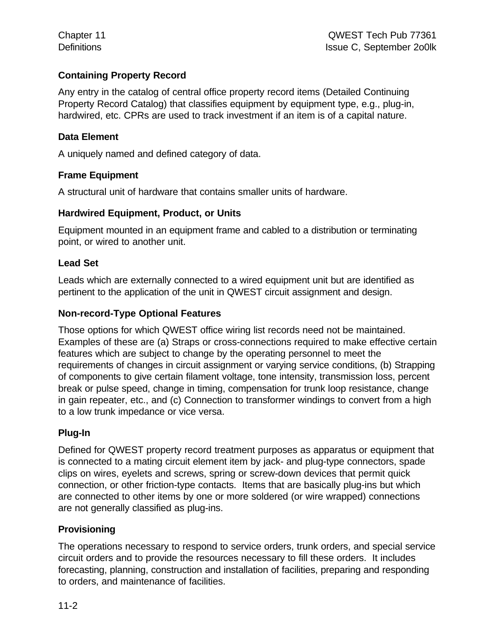## **Containing Property Record**

Any entry in the catalog of central office property record items (Detailed Continuing Property Record Catalog) that classifies equipment by equipment type, e.g., plug-in, hardwired, etc. CPRs are used to track investment if an item is of a capital nature.

#### **Data Element**

A uniquely named and defined category of data.

#### **Frame Equipment**

A structural unit of hardware that contains smaller units of hardware.

#### **Hardwired Equipment, Product, or Units**

Equipment mounted in an equipment frame and cabled to a distribution or terminating point, or wired to another unit.

#### **Lead Set**

Leads which are externally connected to a wired equipment unit but are identified as pertinent to the application of the unit in QWEST circuit assignment and design.

#### **Non-record-Type Optional Features**

Those options for which QWEST office wiring list records need not be maintained. Examples of these are (a) Straps or cross-connections required to make effective certain features which are subject to change by the operating personnel to meet the requirements of changes in circuit assignment or varying service conditions, (b) Strapping of components to give certain filament voltage, tone intensity, transmission loss, percent break or pulse speed, change in timing, compensation for trunk loop resistance, change in gain repeater, etc., and (c) Connection to transformer windings to convert from a high to a low trunk impedance or vice versa.

#### **Plug-In**

Defined for QWEST property record treatment purposes as apparatus or equipment that is connected to a mating circuit element item by jack- and plug-type connectors, spade clips on wires, eyelets and screws, spring or screw-down devices that permit quick connection, or other friction-type contacts. Items that are basically plug-ins but which are connected to other items by one or more soldered (or wire wrapped) connections are not generally classified as plug-ins.

#### **Provisioning**

The operations necessary to respond to service orders, trunk orders, and special service circuit orders and to provide the resources necessary to fill these orders. It includes forecasting, planning, construction and installation of facilities, preparing and responding to orders, and maintenance of facilities.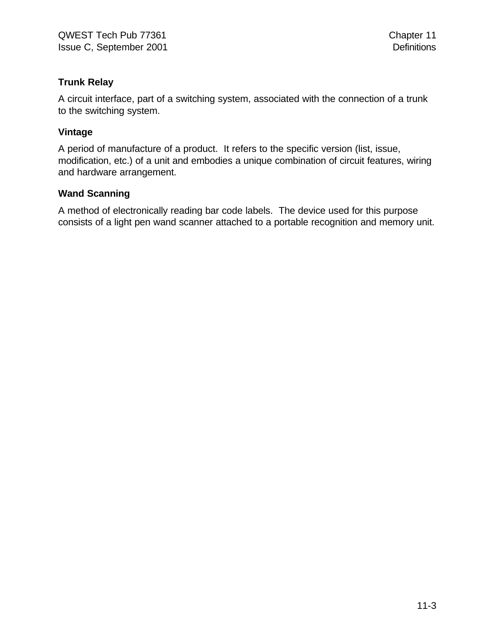## **Trunk Relay**

A circuit interface, part of a switching system, associated with the connection of a trunk to the switching system.

#### **Vintage**

A period of manufacture of a product. It refers to the specific version (list, issue, modification, etc.) of a unit and embodies a unique combination of circuit features, wiring and hardware arrangement.

## **Wand Scanning**

A method of electronically reading bar code labels. The device used for this purpose consists of a light pen wand scanner attached to a portable recognition and memory unit.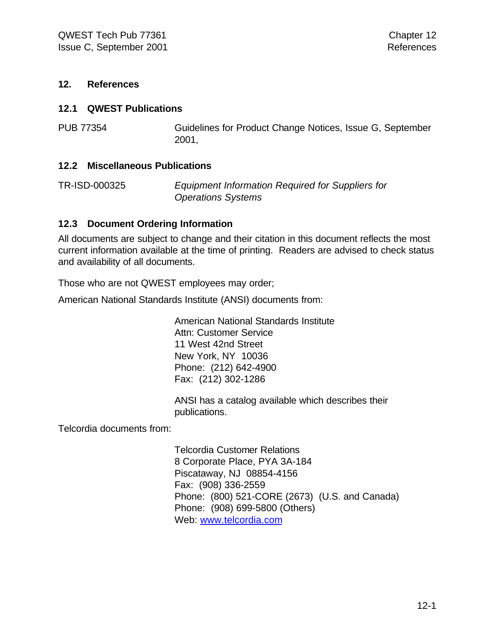#### **12. References**

#### **12.1 QWEST Publications**

PUB 77354 Guidelines for Product Change Notices, Issue G, September 2001,

#### **12.2 Miscellaneous Publications**

TR-ISD-000325 *Equipment Information Required for Suppliers for Operations Systems*

#### **12.3 Document Ordering Information**

All documents are subject to change and their citation in this document reflects the most current information available at the time of printing. Readers are advised to check status and availability of all documents.

Those who are not QWEST employees may order;

American National Standards Institute (ANSI) documents from:

American National Standards Institute Attn: Customer Service 11 West 42nd Street New York, NY 10036 Phone: (212) 642-4900 Fax: (212) 302-1286

ANSI has a catalog available which describes their publications.

Telcordia documents from:

Telcordia Customer Relations 8 Corporate Place, PYA 3A-184 Piscataway, NJ 08854-4156 Fax: (908) 336-2559 Phone: (800) 521-CORE (2673) (U.S. and Canada) Phone: (908) 699-5800 (Others) Web: www.telcordia.com